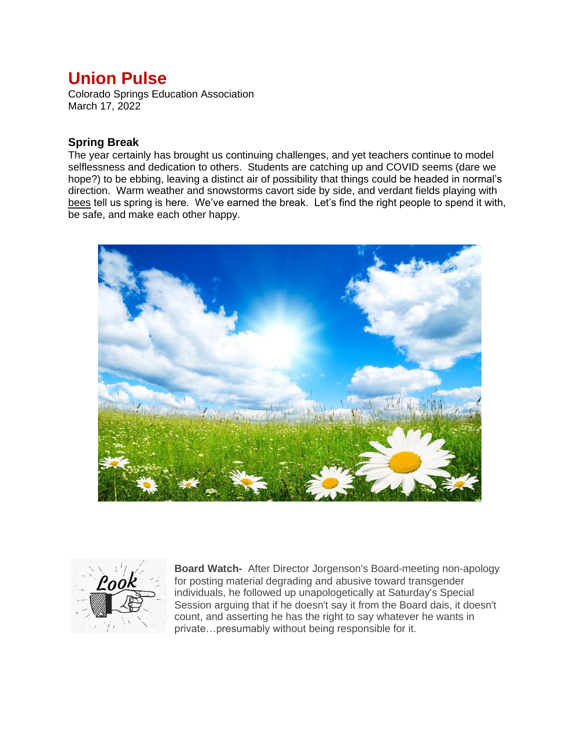# **Union Pulse**

Colorado Springs Education Association March 17, 2022

# **Spring Break**

The year certainly has brought us continuing challenges, and yet teachers continue to model selflessness and dedication to others. Students are catching up and COVID seems (dare we hope?) to be ebbing, leaving a distinct air of possibility that things could be headed in normal's direction. Warm weather and snowstorms cavort side by side, and verdant fields playing with [bees](https://www.youtube.com/watch?v=3qVPNONdF58) tell us spring is here. We've earned the break. Let's find the right people to spend it with, be safe, and make each other happy.





**Board Watch-** After Director Jorgenson's Board-meeting non-apology for posting material degrading and abusive toward transgender individuals, he followed up unapologetically at Saturday's Special Session arguing that if he doesn't say it from the Board dais, it doesn't count, and asserting he has the right to say whatever he wants in private…presumably without being responsible for it.